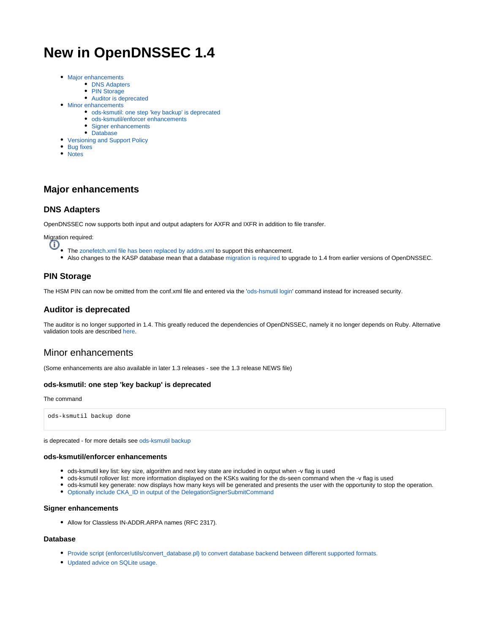# **New in OpenDNSSEC 1.4**

- [Major enhancements](#page-0-0)
	- **[DNS Adapters](#page-0-1)** 
		- [PIN Storage](#page-0-2)
	- [Auditor is deprecated](#page-0-3)
- [Minor enhancements](#page-0-4)
	- [ods-ksmutil: one step 'key backup' is deprecated](#page-0-5)
	- [ods-ksmutil/enforcer enhancements](#page-0-6)
	- [Signer enhancements](#page-0-7)
- [Database](#page-0-8) [Versioning and Support Policy](#page-0-9)
	-
- [Bug fixes](#page-1-0) [Notes](#page-1-1)
- 

## <span id="page-0-0"></span>**Major enhancements**

### <span id="page-0-1"></span>**DNS Adapters**

OpenDNSSEC now supports both input and output adapters for AXFR and IXFR in addition to file transfer.

Migration required:

- O • The [zonefetch.xml file has been replaced by addns.xml](https://wiki.opendnssec.org/display/DOCS/Migrating+zone+fetcher+to+DNS+adapters) to support this enhancement.
	- Also changes to the KASP database mean that a database [migration is required](https://wiki.opendnssec.org/display/DOCS/Migrating+from+earlier+versions+of+OpenDNSSEC) to upgrade to 1.4 from earlier versions of OpenDNSSEC.

### <span id="page-0-2"></span>**PIN Storage**

The HSM PIN can now be omitted from the conf.xml file and entered via the '[ods-hsmutil login](https://wiki.opendnssec.org/display/DOCS/Running+OpenDNSSEC)' command instead for increased security.

### <span id="page-0-3"></span>**Auditor is deprecated**

The auditor is no longer supported in 1.4. This greatly reduced the dependencies of OpenDNSSEC, namely it no longer depends on Ruby. Alternative validation tools are described [here.](https://wiki.opendnssec.org/display/DOCS/External+Auditing+of+Zones)

## <span id="page-0-4"></span>Minor enhancements

(Some enhancements are also available in later 1.3 releases - see the 1.3 release NEWS file)

#### <span id="page-0-5"></span>**ods-ksmutil: one step 'key backup' is deprecated**

#### The command

ods-ksmutil backup done

is deprecated - for more details se[e ods-ksmutil backup](https://wiki.opendnssec.org/display/DOCS/ods-ksmutil#ods-ksmutil-Commandbackupdone)

#### <span id="page-0-6"></span>**ods-ksmutil/enforcer enhancements**

- ods-ksmutil key list: key size, algorithm and next key state are included in output when -v flag is used
- ods-ksmutil rollover list: more information displayed on the KSKs waiting for the ds-seen command when the -v flag is used
- ods-ksmutil key generate: now displays how many keys will be generated and presents the user with the opportunity to stop the operation.
- [Optionally include CKA\\_ID in output of the DelegationSignerSubmitCommand](https://wiki.opendnssec.org/display/DOCS/conf.xml#conf.xml-Enforcer)

#### <span id="page-0-7"></span>**Signer enhancements**

• Allow for Classless IN-ADDR.ARPA names (RFC 2317).

#### <span id="page-0-9"></span><span id="page-0-8"></span>**Database**

- [Provide script \(enforcer/utils/convert\\_database.pl\) to convert database backend between different supported formats.](https://wiki.opendnssec.org/display/DOCS/Migrating+between+supported+database+backends)
- [Updated advice on SQLite usage.](https://wiki.opendnssec.org/display/DOCS/Installation#Installation-Database)